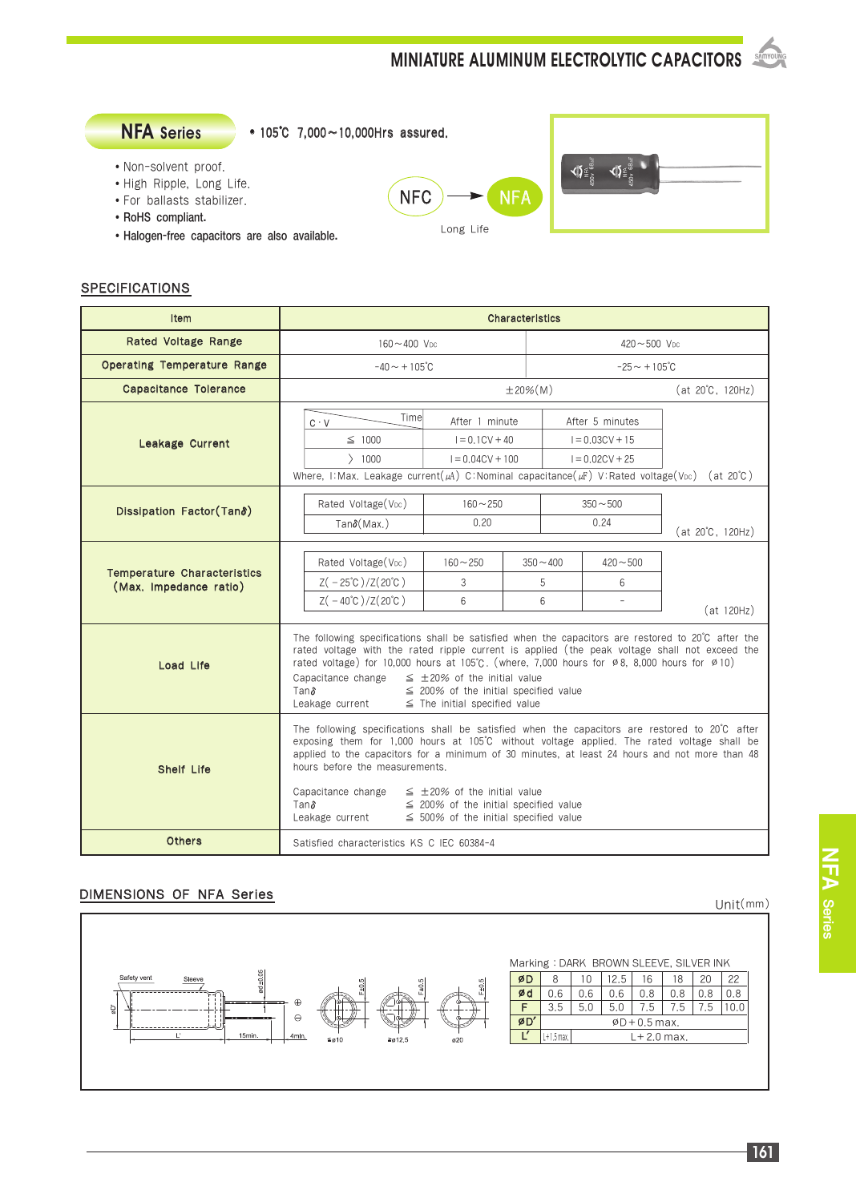**MINIATURE ALUMINUM ELECTROLYTIC CAPACITORS** 



#### **SPECIFICATIONS**

| <b>Item</b>                                                  | Characteristics                                                                                                                                                                                                                                                                                                                                                                                                                                                                                                  |                                                                                                                                            |                       |                                                           |                              |                  |
|--------------------------------------------------------------|------------------------------------------------------------------------------------------------------------------------------------------------------------------------------------------------------------------------------------------------------------------------------------------------------------------------------------------------------------------------------------------------------------------------------------------------------------------------------------------------------------------|--------------------------------------------------------------------------------------------------------------------------------------------|-----------------------|-----------------------------------------------------------|------------------------------|------------------|
| Rated Voltage Range                                          | $160 - 400$ V <sub>pc</sub>                                                                                                                                                                                                                                                                                                                                                                                                                                                                                      |                                                                                                                                            |                       | $420 - 500$ V <sub>pc</sub>                               |                              |                  |
| <b>Operating Temperature Range</b>                           | $-40 \sim +105^{\circ}$ C                                                                                                                                                                                                                                                                                                                                                                                                                                                                                        |                                                                                                                                            |                       | $-25 - +105^{\circ}C$                                     |                              |                  |
| <b>Capacitance Tolerance</b>                                 |                                                                                                                                                                                                                                                                                                                                                                                                                                                                                                                  |                                                                                                                                            | $±20%$ (M)            |                                                           |                              | (at 20°C, 120Hz) |
| Leakage Current                                              | Timel<br>After 1 minute<br>$C \cdot V$<br>$I = 0.1CV + 40$<br>$\leq$ 1000<br>$\rangle$ 1000<br>$I = 0.04CV + 100$                                                                                                                                                                                                                                                                                                                                                                                                |                                                                                                                                            |                       | After 5 minutes<br>$I = 0.03CV + 15$<br>$I = 0.02CV + 25$ |                              |                  |
| Dissipation Factor (Tans)                                    | Rated Voltage (V <sub>DC</sub> )<br>$Tan\delta(Max.)$                                                                                                                                                                                                                                                                                                                                                                                                                                                            | Where, I:Max. Leakage current( $\mu$ A) C:Nominal capacitance( $\mu$ F) V:Rated voltage(V <sub>DC</sub> ) (at 20°C)<br>$160 - 250$<br>0.20 |                       | $350 - 500$<br>0.24                                       | $(at 20^{\circ}C, 120Hz)$    |                  |
| <b>Temperature Characteristics</b><br>(Max. Impedance ratio) | Rated Voltage (V <sub>DC</sub> )<br>$Z(-25^{\circ}\text{C})/Z(20^{\circ}\text{C})$<br>$Z( -40^{\circ}C)/Z(20^{\circ}C)$                                                                                                                                                                                                                                                                                                                                                                                          | $160 - 250$<br>3<br>6                                                                                                                      | $350 - 400$<br>5<br>6 |                                                           | $420 - 500$<br>6<br>$\equiv$ | (at 120Hz)       |
| Load Life                                                    | The following specifications shall be satisfied when the capacitors are restored to 20°C after the<br>rated voltage with the rated ripple current is applied (the peak voltage shall not exceed the<br>rated voltage) for 10,000 hours at 105°C. (where, 7,000 hours for $\varnothing$ 8, 8,000 hours for $\varnothing$ 10)<br>Capacitance change<br>$\leq$ ±20% of the initial value<br>Tanδ<br>$\leq$ 200% of the initial specified value<br>Leakage current<br>$\leq$ The initial specified value             |                                                                                                                                            |                       |                                                           |                              |                  |
| <b>Shelf Life</b>                                            | The following specifications shall be satisfied when the capacitors are restored to 20°C after<br>exposing them for 1,000 hours at 105°C without voltage applied. The rated voltage shall be<br>applied to the capacitors for a minimum of 30 minutes, at least 24 hours and not more than 48<br>hours before the measurements.<br>Capacitance change<br>$\leq$ ±20% of the initial value<br>$\leq$ 200% of the initial specified value<br>Tanδ<br>Leakage current<br>$\leq$ 500% of the initial specified value |                                                                                                                                            |                       |                                                           |                              |                  |
| <b>Others</b>                                                | Satisfied characteristics KS C IEC 60384-4                                                                                                                                                                                                                                                                                                                                                                                                                                                                       |                                                                                                                                            |                       |                                                           |                              |                  |

#### DIMENSIONS OF NFA Series

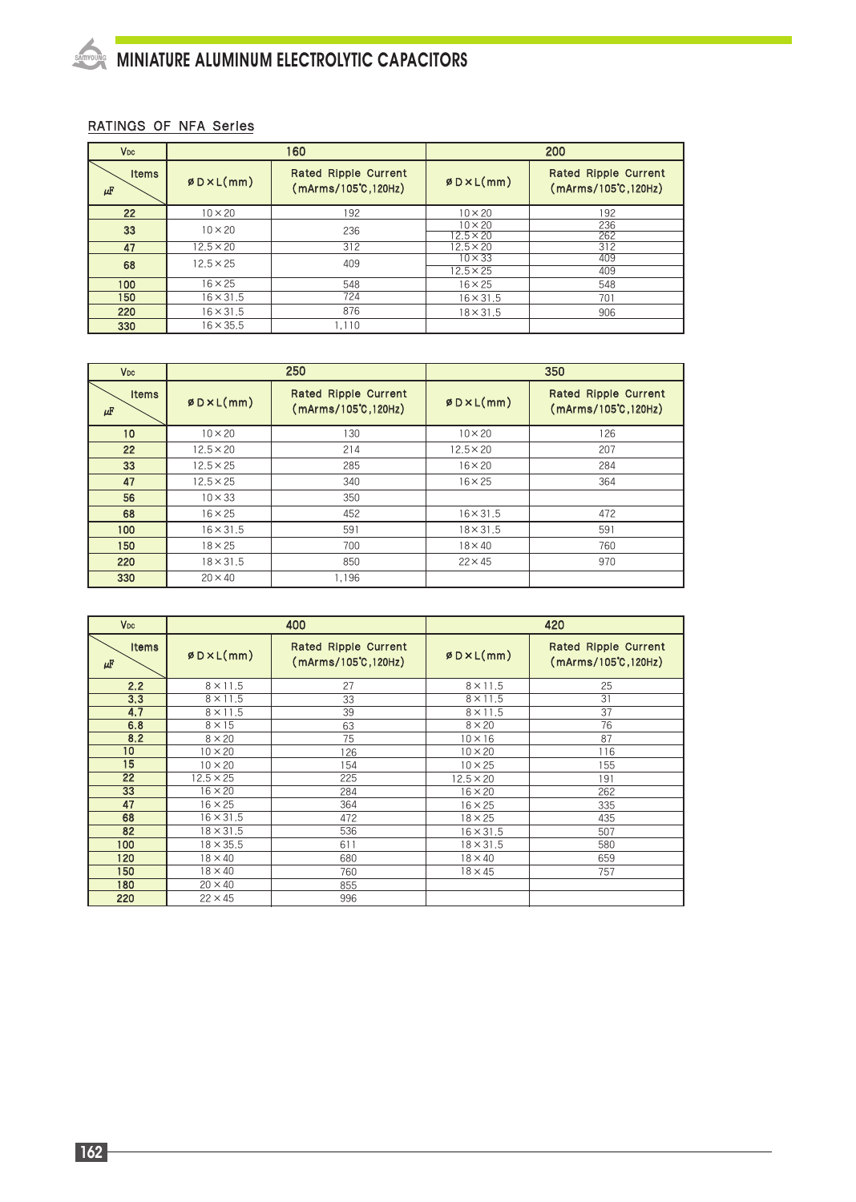# MINIATURE ALUMINUM ELECTROLYTIC CAPACITORS

### RATINGS OF NFA Series

| <b>V<sub>DC</sub></b> |                  | 160                                         | 200                                |                                                       |  |
|-----------------------|------------------|---------------------------------------------|------------------------------------|-------------------------------------------------------|--|
| <b>Items</b><br>μF    | ØDXL(mm)         | Rated Ripple Current<br>(mArms/105°C,120Hz) | ØDXL(mm)                           | Rated Ripple Current<br>$(mArms/105^{\circ}C, 120Hz)$ |  |
| 22                    | $10 \times 20$   | 192                                         | $10 \times 20$                     | 192                                                   |  |
| 33                    | $10 \times 20$   | 236                                         | $10 \times 20$<br>$12.5 \times 20$ | 236<br>262                                            |  |
| 47                    | $12.5 \times 20$ | 312                                         | $12.5 \times 20$                   | 312                                                   |  |
| 68                    | $12.5 \times 25$ | 409                                         | $10 \times 33$<br>$12.5 \times 25$ | 409<br>409                                            |  |
| 100                   | $16 \times 25$   | 548                                         | $16 \times 25$                     | 548                                                   |  |
| 150                   | $16 \times 31.5$ | 724                                         | $16 \times 31.5$                   | 701                                                   |  |
| 220                   | $16 \times 31.5$ | 876                                         | $18 \times 31.5$                   | 906                                                   |  |
| 330                   | $16 \times 35.5$ | 1.110                                       |                                    |                                                       |  |

| V <sub>DC</sub>    |                  | 250                                                   | 350              |                                                       |  |
|--------------------|------------------|-------------------------------------------------------|------------------|-------------------------------------------------------|--|
| <b>Items</b><br>μF | ØDXL(mm)         | Rated Ripple Current<br>$(mArms/105^{\circ}C, 120Hz)$ | ØDXL(mm)         | Rated Ripple Current<br>$(mArms/105^{\circ}C, 120Hz)$ |  |
| 10 <sup>10</sup>   | $10 \times 20$   | 130                                                   | $10 \times 20$   | 126                                                   |  |
| 22                 | $12.5 \times 20$ | 214                                                   | $12.5 \times 20$ | 207                                                   |  |
| 33                 | $12.5 \times 25$ | 285                                                   | $16 \times 20$   | 284                                                   |  |
| 47                 | $12.5 \times 25$ | 340                                                   | $16 \times 25$   | 364                                                   |  |
| 56                 | $10 \times 33$   | 350                                                   |                  |                                                       |  |
| 68                 | $16 \times 25$   | 452                                                   | $16 \times 31.5$ | 472                                                   |  |
| 100                | $16 \times 31.5$ | 591                                                   | $18 \times 31.5$ | 591                                                   |  |
| 150                | $18 \times 25$   | 700                                                   | $18 \times 40$   | 760                                                   |  |
| 220                | $18 \times 31.5$ | 850                                                   | $22 \times 45$   | 970                                                   |  |
| 330                | $20 \times 40$   | 1.196                                                 |                  |                                                       |  |

| V <sub>DC</sub>         |                                                          | 400 | 420              |                                              |  |
|-------------------------|----------------------------------------------------------|-----|------------------|----------------------------------------------|--|
| <b>Items</b><br>$\mu$ F | Rated Ripple Current<br>ØDXL(mm)<br>(mArms/105°C, 120Hz) |     | ØDXL(mm)         | Rated Ripple Current<br>(mArms/105°C, 120Hz) |  |
| 2.2                     | $8 \times 11.5$                                          | 27  | $8 \times 11.5$  | 25                                           |  |
| 3,3                     | $8 \times 11.5$                                          | 33  | $8 \times 11.5$  | 31                                           |  |
| 4.7                     | $8 \times 11.5$                                          | 39  | $8 \times 11.5$  | 37                                           |  |
| 6.8                     | $8 \times 15$                                            | 63  | $8 \times 20$    | 76                                           |  |
| 8.2                     | $8 \times 20$                                            | 75  | $10 \times 16$   | 87                                           |  |
| 10                      | $10 \times 20$                                           | 126 | $10 \times 20$   | 116                                          |  |
| 15                      | $10 \times 20$                                           | 154 | $10 \times 25$   | 155                                          |  |
| 22                      | $12.5 \times 25$                                         | 225 | $12.5 \times 20$ | 191                                          |  |
| 33                      | $16 \times 20$                                           | 284 | $16 \times 20$   | 262                                          |  |
| 47                      | $16 \times 25$                                           | 364 | $16 \times 25$   | 335                                          |  |
| 68                      | $16 \times 31.5$                                         | 472 | $18 \times 25$   | 435                                          |  |
| 82                      | $18 \times 31.5$                                         | 536 | $16 \times 31.5$ | 507                                          |  |
| 100                     | $18 \times 35.5$                                         | 611 | $18 \times 31.5$ | 580                                          |  |
| 120                     | $18 \times 40$                                           | 680 | $18 \times 40$   | 659                                          |  |
| 150                     | $18 \times 40$                                           | 760 | $18 \times 45$   | 757                                          |  |
| 180                     | $20 \times 40$                                           | 855 |                  |                                              |  |
| 220                     | $22 \times 45$                                           | 996 |                  |                                              |  |